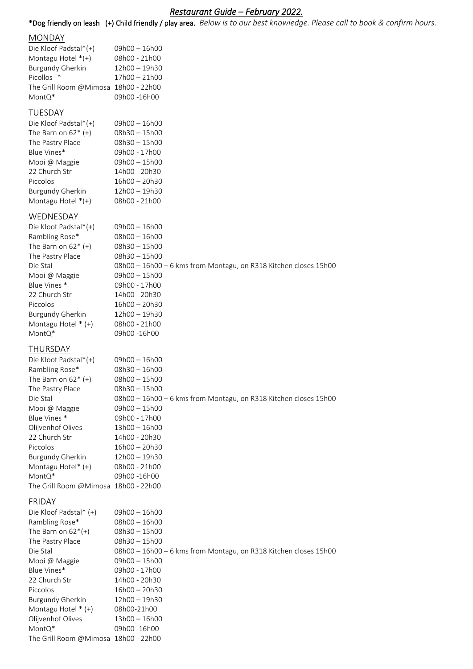# *Restaurant Guide – February 2022.*

\*Dog friendly on leash (+) Child friendly / play area. *Below is to our best knowledge. Please call to book & confirm hours.*

#### **MONDAY**

| Die Kloof Padstal*(+)                | 09h00 - 16h00   |
|--------------------------------------|-----------------|
| Montagu Hotel $*(+)$                 | 08h00 - 21h00   |
| <b>Burgundy Gherkin</b>              | 12h00 - 19h30   |
| Picollos *                           | $17h00 - 21h00$ |
| The Grill Room @Mimosa 18h00 - 22h00 |                 |
| MontQ*                               | 09h00 -16h00    |
|                                      |                 |

## **TUESDAY**

| Die Kloof Padstal*(+)   | 09h00 - 16h00   |
|-------------------------|-----------------|
| The Barn on $62^*$ (+)  | 08h30 - 15h00   |
| The Pastry Place        | 08h30 - 15h00   |
| Blue Vines*             | 09h00 - 17h00   |
| Mooi @ Maggie           | 09h00 - 15h00   |
| 22 Church Str           | 14h00 - 20h30   |
| Piccolos                | $16h00 - 20h30$ |
| <b>Burgundy Gherkin</b> | 12h00 - 19h30   |
| Montagu Hotel *(+)      | 08h00 - 21h00   |

# WEDNESDAY

| Die Kloof Padstal*(+)  | $09h00 - 16h00$                                                  |
|------------------------|------------------------------------------------------------------|
| Rambling Rose*         | $08h00 - 16h00$                                                  |
| The Barn on $62^*$ (+) | $08h30 - 15h00$                                                  |
| The Pastry Place       | $08h30 - 15h00$                                                  |
| Die Stal               | 08h00 - 16h00 - 6 kms from Montagu, on R318 Kitchen closes 15h00 |
| Mooi @ Maggie          | $09h00 - 15h00$                                                  |
| Blue Vines *           | 09h00 - 17h00                                                    |
| 22 Church Str          | 14h00 - 20h30                                                    |
| Piccolos               | $16h00 - 20h30$                                                  |
| Burgundy Gherkin       | $12h00 - 19h30$                                                  |
| Montagu Hotel $*(+)$   | 08h00 - 21h00                                                    |
| MontQ*                 | 09h00 -16h00                                                     |
|                        |                                                                  |

#### THURSDAY

| $09h00 - 16h00$                                                  |
|------------------------------------------------------------------|
| $08h30 - 16h00$                                                  |
| $08h00 - 15h00$                                                  |
| $08h30 - 15h00$                                                  |
| 08h00 - 16h00 - 6 kms from Montagu, on R318 Kitchen closes 15h00 |
| $09h00 - 15h00$                                                  |
| 09h00 - 17h00                                                    |
| $13h00 - 16h00$                                                  |
| 14h00 - 20h30                                                    |
| $16h00 - 20h30$                                                  |
| $12h00 - 19h30$                                                  |
| 08h00 - 21h00                                                    |
| 09h00 -16h00                                                     |
| The Grill Room @Mimosa 18h00 - 22h00                             |
|                                                                  |

#### FRIDAY

| Die Kloof Padstal* (+)               | $09h00 - 16h00$                                                  |
|--------------------------------------|------------------------------------------------------------------|
| Rambling Rose*                       | $08h00 - 16h00$                                                  |
| The Barn on $62^*(+)$                | $08h30 - 15h00$                                                  |
| The Pastry Place                     | $08h30 - 15h00$                                                  |
| Die Stal                             | 08h00 - 16h00 - 6 kms from Montagu, on R318 Kitchen closes 15h00 |
| Mooi @ Maggie                        | $09h00 - 15h00$                                                  |
| Blue Vines*                          | 09h00 - 17h00                                                    |
| 22 Church Str                        | 14h00 - 20h30                                                    |
| Piccolos                             | $16h00 - 20h30$                                                  |
| Burgundy Gherkin                     | $12h00 - 19h30$                                                  |
| Montagu Hotel $*(+)$                 | 08h00-21h00                                                      |
| Olijvenhof Olives                    | $13h00 - 16h00$                                                  |
| MontQ*                               | 09h00 -16h00                                                     |
| The Grill Room @Mimosa 18h00 - 22h00 |                                                                  |